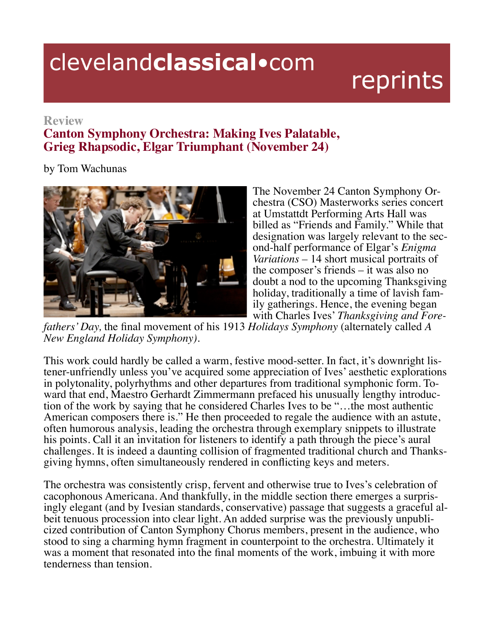## clevelandclassical.com

## reprints

## **Review**

## **Canton Symphony Orchestra: Making Ives Palatable, Grieg Rhapsodic, Elgar Triumphant (November 24)**

by Tom Wachunas



The November 24 Canton Symphony Orchestra (CSO) Masterworks series concert at Umstattdt Performing Arts Hall was billed as "Friends and Family." While that designation was largely relevant to the second-half performance of Elgar's *Enigma Variations –* 14 short musical portraits of the composer's friends – it was also no doubt a nod to the upcoming Thanksgiving<br>holiday, traditionally a time of lavish family gatherings. Hence, the evening began

with Charles Ives' *Thanksgiving and Fore- fathers' Day*, the final movement of his 1913 *Holidays Symphony* (alternately called *A New England Holiday Symphony).*

This work could hardly be called a warm, festive mood-setter. In fact, it's downright lis- tener-unfriendly unless you've acquired some appreciation of Ives' aesthetic explorations in polytonality, polyrhythms and other departures from traditional symphonic form. Toward that end, Maestro Gerhardt Zimmermann prefaced his unusually lengthy introduction of the work by saying that he considered Charles Ives to be "…the most authentic American composers there is." He then proceeded to regale the audience with an astute, often humorous analysis, leading the orchestra through exemplary snippets to illustrate his points. Call it an invitation for listeners to identify a path through the piece's aural challenges. It is indeed a daunting collision of fragmented traditional church and Thanks-<br>giving hymns, often simultaneously rendered in conflicting keys and meters.

The orchestra was consistently crisp, fervent and otherwise true to Ives's celebration of cacophonous Americana. And thankfully, in the middle section there emerges a surprisingly elegant (and by Ivesian standards, conservative) passage that suggests a graceful albeit tenuous procession into clear light. An added surprise was the previously unpublicized contribution of Canton Symphony Chorus members, present in the audience, who stood to sing a charming hymn fragment in counterpoint to the orchestra. Ultimately it was a moment that resonated into the final moments of the work, imbuing it with more tenderness than tension.